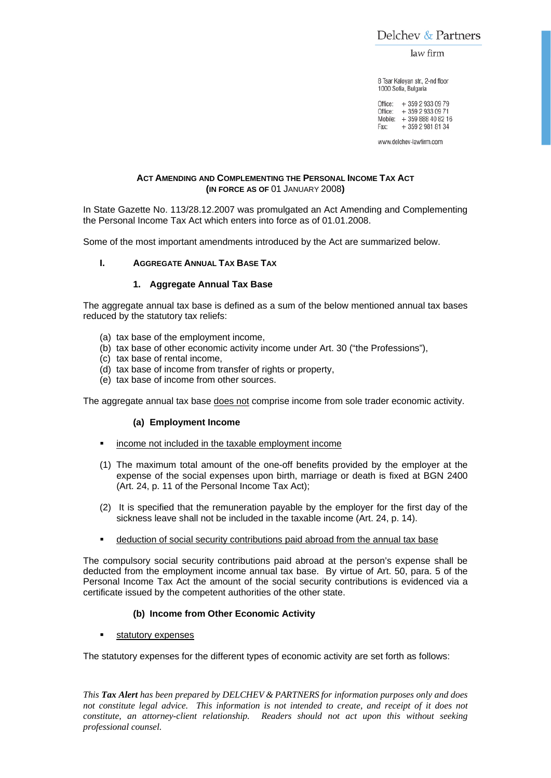Delchev & Partners

law firm

8 Tsar Kaloyan str., 2-nd floor 1000 Sofia, Bulgaria

Office: + 359 2 933 09 79 Office: + 359 2 933 09 71 Mobile: + 359 888 40 82 16 + 359 2 981 81 34 Fax:

www.delchev-lawfirm.com

#### **ACT AMENDING AND COMPLEMENTING THE PERSONAL INCOME TAX ACT (IN FORCE AS OF** 01 JANUARY 2008**)**

In State Gazette No. 113/28.12.2007 was promulgated an Act Amending and Complementing the Personal Income Tax Act which enters into force as of 01.01.2008.

Some of the most important amendments introduced by the Act are summarized below.

#### **I. AGGREGATE ANNUAL TAX BASE TAX**

# **1. Aggregate Annual Tax Base**

The aggregate annual tax base is defined as a sum of the below mentioned annual tax bases reduced by the statutory tax reliefs:

- (a) tax base of the employment income,
- (b) tax base of other economic activity income under Art. 30 ("the Professions"),
- (c) tax base of rental income,
- (d) tax base of income from transfer of rights or property,
- (e) tax base of income from other sources.

The aggregate annual tax base does not comprise income from sole trader economic activity.

#### **(a) Employment Income**

- income not included in the taxable employment income
- (1) The maximum total amount of the one-off benefits provided by the employer at the expense of the social expenses upon birth, marriage or death is fixed at BGN 2400 (Art. 24, p. 11 of the Personal Income Tax Act);
- (2) It is specified that the remuneration payable by the employer for the first day of the sickness leave shall not be included in the taxable income (Art. 24, p. 14).
- deduction of social security contributions paid abroad from the annual tax base

The compulsory social security contributions paid abroad at the person's expense shall be deducted from the employment income annual tax base. By virtue of Art. 50, para. 5 of the Personal Income Tax Act the amount of the social security contributions is evidenced via a certificate issued by the competent authorities of the other state.

# **(b) Income from Other Economic Activity**

statutory expenses

The statutory expenses for the different types of economic activity are set forth as follows: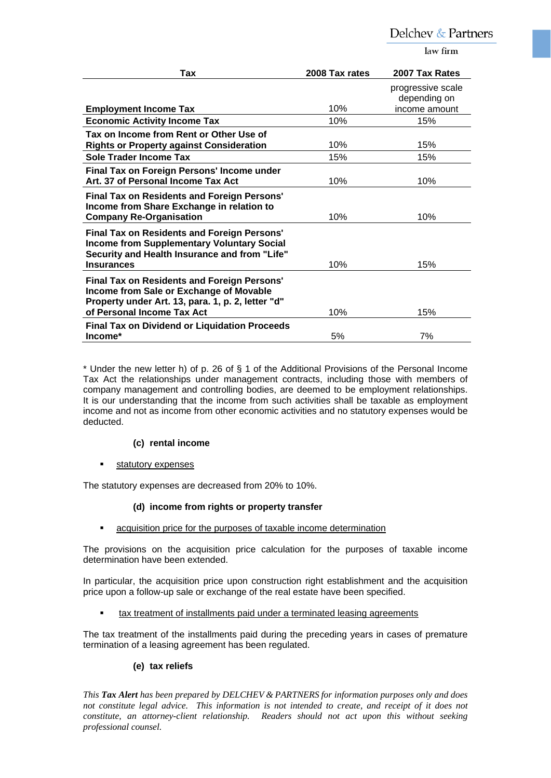law firm

| Tax                                                                                                                                                                              | 2008 Tax rates | 2007 Tax Rates                                     |
|----------------------------------------------------------------------------------------------------------------------------------------------------------------------------------|----------------|----------------------------------------------------|
| <b>Employment Income Tax</b>                                                                                                                                                     | 10%            | progressive scale<br>depending on<br>income amount |
| <b>Economic Activity Income Tax</b>                                                                                                                                              | 10%            | 15%                                                |
| Tax on Income from Rent or Other Use of<br><b>Rights or Property against Consideration</b>                                                                                       | 10%            | 15%                                                |
| Sole Trader Income Tax                                                                                                                                                           | 15%            | 15%                                                |
| Final Tax on Foreign Persons' Income under<br>Art. 37 of Personal Income Tax Act                                                                                                 | 10%            | 10%                                                |
| <b>Final Tax on Residents and Foreign Persons'</b><br>Income from Share Exchange in relation to<br><b>Company Re-Organisation</b>                                                | 10%            | 10%                                                |
| <b>Final Tax on Residents and Foreign Persons'</b><br><b>Income from Supplementary Voluntary Social</b><br>Security and Health Insurance and from "Life"<br><b>Insurances</b>    | 10%            | 15%                                                |
| <b>Final Tax on Residents and Foreign Persons'</b><br>Income from Sale or Exchange of Movable<br>Property under Art. 13, para. 1, p. 2, letter "d"<br>of Personal Income Tax Act | 10%            | 15%                                                |
| <b>Final Tax on Dividend or Liquidation Proceeds</b><br>Income*                                                                                                                  | 5%             | 7%                                                 |

\* Under the new letter h) of p. 26 of § 1 of the Additional Provisions of the Personal Income Tax Act the relationships under management contracts, including those with members of company management and controlling bodies, are deemed to be employment relationships. It is our understanding that the income from such activities shall be taxable as employment income and not as income from other economic activities and no statutory expenses would be deducted.

# **(c) rental income**

statutory expenses

The statutory expenses are decreased from 20% to 10%.

# **(d) income from rights or property transfer**

acquisition price for the purposes of taxable income determination

The provisions on the acquisition price calculation for the purposes of taxable income determination have been extended.

In particular, the acquisition price upon construction right establishment and the acquisition price upon a follow-up sale or exchange of the real estate have been specified.

tax treatment of installments paid under a terminated leasing agreements

The tax treatment of the installments paid during the preceding years in cases of premature termination of a leasing agreement has been regulated.

#### **(e) tax reliefs**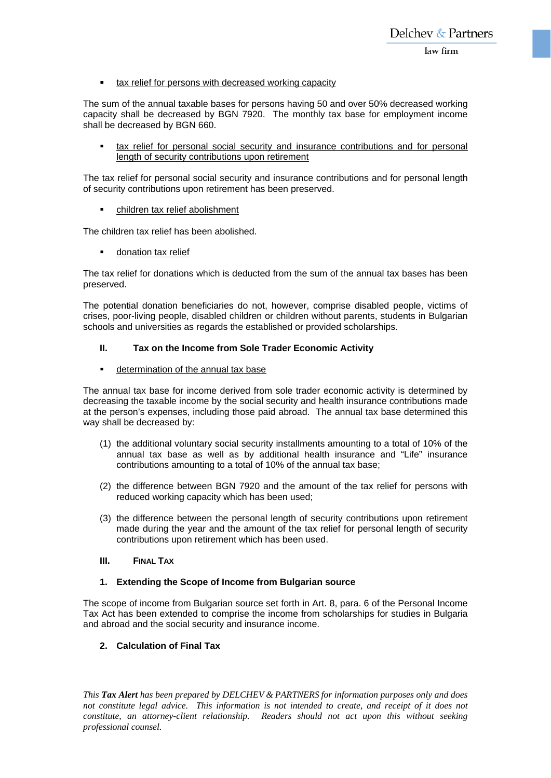### tax relief for persons with decreased working capacity

The sum of the annual taxable bases for persons having 50 and over 50% decreased working capacity shall be decreased by BGN 7920. The monthly tax base for employment income shall be decreased by BGN 660.

 tax relief for personal social security and insurance contributions and for personal length of security contributions upon retirement

The tax relief for personal social security and insurance contributions and for personal length of security contributions upon retirement has been preserved.

children tax relief abolishment

The children tax relief has been abolished.

donation tax relief

The tax relief for donations which is deducted from the sum of the annual tax bases has been preserved.

The potential donation beneficiaries do not, however, comprise disabled people, victims of crises, poor-living people, disabled children or children without parents, students in Bulgarian schools and universities as regards the established or provided scholarships.

# **II. Tax on the Income from Sole Trader Economic Activity**

determination of the annual tax base

The annual tax base for income derived from sole trader economic activity is determined by decreasing the taxable income by the social security and health insurance contributions made at the person's expenses, including those paid abroad. The annual tax base determined this way shall be decreased by:

- (1) the additional voluntary social security installments amounting to a total of 10% of the annual tax base as well as by additional health insurance and "Life" insurance contributions amounting to a total of 10% of the annual tax base;
- (2) the difference between BGN 7920 and the amount of the tax relief for persons with reduced working capacity which has been used;
- (3) the difference between the personal length of security contributions upon retirement made during the year and the amount of the tax relief for personal length of security contributions upon retirement which has been used.

# **III. FINAL TAX**

# **1. Extending the Scope of Income from Bulgarian source**

The scope of income from Bulgarian source set forth in Art. 8, para. 6 of the Personal Income Tax Act has been extended to comprise the income from scholarships for studies in Bulgaria and abroad and the social security and insurance income.

# **2. Calculation of Final Tax**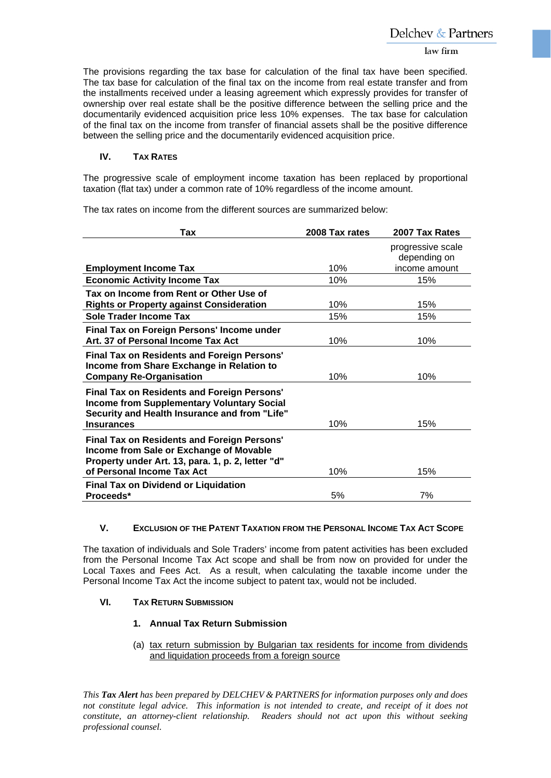#### law firm

The provisions regarding the tax base for calculation of the final tax have been specified. The tax base for calculation of the final tax on the income from real estate transfer and from the installments received under a leasing agreement which expressly provides for transfer of ownership over real estate shall be the positive difference between the selling price and the documentarily evidenced acquisition price less 10% expenses. The tax base for calculation of the final tax on the income from transfer of financial assets shall be the positive difference between the selling price and the documentarily evidenced acquisition price.

### **IV. TAX RATES**

The progressive scale of employment income taxation has been replaced by proportional taxation (flat tax) under a common rate of 10% regardless of the income amount.

The tax rates on income from the different sources are summarized below:

| Tax                                                                                                                                                                              | 2008 Tax rates | 2007 Tax Rates                    |
|----------------------------------------------------------------------------------------------------------------------------------------------------------------------------------|----------------|-----------------------------------|
|                                                                                                                                                                                  |                | progressive scale<br>depending on |
| <b>Employment Income Tax</b>                                                                                                                                                     | 10%            | income amount                     |
| <b>Economic Activity Income Tax</b>                                                                                                                                              | 10%            | 15%                               |
| Tax on Income from Rent or Other Use of<br><b>Rights or Property against Consideration</b>                                                                                       | 10%            | 15%                               |
| <b>Sole Trader Income Tax</b>                                                                                                                                                    | 15%            | 15%                               |
| Final Tax on Foreign Persons' Income under<br>Art. 37 of Personal Income Tax Act                                                                                                 | 10%            | 10%                               |
| Final Tax on Residents and Foreign Persons'<br>Income from Share Exchange in Relation to<br><b>Company Re-Organisation</b>                                                       | 10%            | 10%                               |
| <b>Final Tax on Residents and Foreign Persons'</b><br><b>Income from Supplementary Voluntary Social</b><br>Security and Health Insurance and from "Life"<br><b>Insurances</b>    | 10%            | 15%                               |
| <b>Final Tax on Residents and Foreign Persons'</b><br>Income from Sale or Exchange of Movable<br>Property under Art. 13, para. 1, p. 2, letter "d"<br>of Personal Income Tax Act | 10%            | 15%                               |
| <b>Final Tax on Dividend or Liquidation</b><br>Proceeds*                                                                                                                         | 5%             | 7%                                |

#### **V. EXCLUSION OF THE PATENT TAXATION FROM THE PERSONAL INCOME TAX ACT SCOPE**

The taxation of individuals and Sole Traders' income from patent activities has been excluded from the Personal Income Tax Act scope and shall be from now on provided for under the Local Taxes and Fees Act. As a result, when calculating the taxable income under the Personal Income Tax Act the income subject to patent tax, would not be included.

#### **VI. TAX RETURN SUBMISSION**

### **1. Annual Tax Return Submission**

(a) tax return submission by Bulgarian tax residents for income from dividends and liquidation proceeds from a foreign source